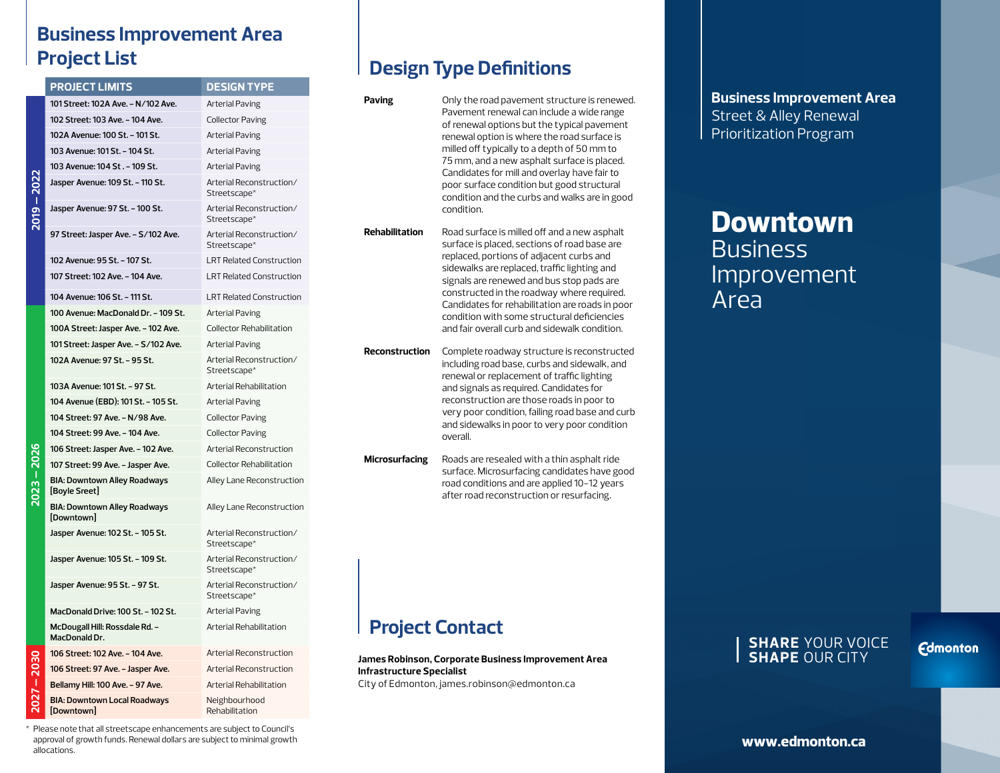## **Business Improvement Area Project List**

2019

2022

**202** 

|  | <b>PROJECT LIMITS</b>                                | <b>DESIGN TYPE</b>                       |
|--|------------------------------------------------------|------------------------------------------|
|  | 101 Street: 102A Ave. - N/102 Ave.                   | Arterial Paving                          |
|  | 102 Street: 103 Ave. - 104 Ave.                      | <b>Collector Paving</b>                  |
|  | 102A Avenue: 100 St. - 101 St.                       | Arterial Paving                          |
|  | 103 Avenue: 101 St. - 104 St.                        | Arterial Paving                          |
|  | 103 Avenue: 104 St. - 109 St.                        | Arterial Paving                          |
|  | Jasper Avenue: 109 St. - 110 St.                     | Arterial Reconstruction/<br>Streetscape* |
|  | Jasper Avenue: 97 St. - 100 St.                      | Arterial Reconstruction/<br>Streetscape* |
|  | 97 Street: Jasper Ave. - S/102 Ave.                  | Arterial Reconstruction/<br>Streetscape* |
|  | 102 Avenue: 95 St. - 107 St.                         | <b>LRT Related Construction</b>          |
|  | 107 Street: 102 Ave. - 104 Ave.                      | <b>LRT Related Construction</b>          |
|  | 104 Avenue: 106 St. - 111 St.                        | <b>LRT Related Construction</b>          |
|  | 100 Avenue: MacDonald Dr. - 109 St.                  | <b>Arterial Paving</b>                   |
|  | 100A Street: Jasper Ave. - 102 Ave.                  | Collector Rehabilitation                 |
|  | 101 Street: Jasper Ave. - S/102 Ave.                 | Arterial Paving                          |
|  | 102A Avenue: 97 St. - 95 St.                         | Arterial Reconstruction/<br>Streetscape* |
|  | 103A Avenue: 101 St. - 97 St.                        | Arterial Rehabilitation                  |
|  | 104 Avenue (EBD): 101 St. - 105 St.                  | Arterial Paving                          |
|  | 104 Street: 97 Ave. - N/98 Ave.                      | <b>Collector Paving</b>                  |
|  | 104 Street: 99 Ave. - 104 Ave.                       | <b>Collector Paving</b>                  |
|  | 106 Street: Jasper Ave. - 102 Ave.                   | Arterial Reconstruction                  |
|  | 107 Street: 99 Ave. - Jasper Ave.                    | <b>Collector Rehabilitation</b>          |
|  | <b>BIA: Downtown Alley Roadways</b><br>[Boyle Sreet] | Alley Lane Reconstruction                |
|  | <b>BIA: Downtown Alley Roadways</b><br>[Downtown]    | Alley Lane Reconstruction                |
|  | Jasper Avenue: 102 St. - 105 St.                     | Arterial Reconstruction/<br>Streetscape* |
|  | Jasper Avenue: 105 St. - 109 St.                     | Arterial Reconstruction/<br>Streetscape* |
|  | Jasper Avenue: 95 St. - 97 St.                       | Arterial Reconstruction/<br>Streetscape* |
|  | MacDonald Drive: 100 St. - 102 St.                   | Arterial Paving                          |
|  | McDougall Hill: Rossdale Rd. -<br>MacDonald Dr.      | Arterial Rehabilitation                  |
|  | 106 Street: 102 Ave. - 104 Ave.                      | Arterial Reconstruction                  |
|  | 106 Street: 97 Ave. - Jasper Ave.                    | Arterial Reconstruction                  |
|  | Bellamy Hill: 100 Ave. - 97 Ave.                     | Arterial Rehabilitation                  |
|  | <b>BIA: Downtown Local Roadways</b><br>[Downtown]    | Neighbourhood<br>Rehabilitation          |

### **Design Type Definitions**

| Paving                                                                                                                                  | Only the road pavement structure is renewed.<br>Pavement renewal can include a wide range<br>of renewal options but the typical pavement<br>renewal option is where the road surface is<br>milled off typically to a depth of 50 mm to<br>75 mm, and a new asphalt surface is placed.<br>Candidates for mill and overlay have fair to<br>poor surface condition but good structural<br>condition and the curbs and walks are in good<br>condition. |  |  |
|-----------------------------------------------------------------------------------------------------------------------------------------|----------------------------------------------------------------------------------------------------------------------------------------------------------------------------------------------------------------------------------------------------------------------------------------------------------------------------------------------------------------------------------------------------------------------------------------------------|--|--|
| <b>Rehabilitation</b>                                                                                                                   | Road surface is milled off and a new asphalt<br>surface is placed, sections of road base are<br>replaced, portions of adjacent curbs and<br>sidewalks are replaced, traffic lighting and<br>signals are renewed and bus stop pads are<br>constructed in the roadway where required.<br>Candidates for rehabilitation are roads in poor<br>condition with some structural deficiencies<br>and fair overall curb and sidewalk condition.             |  |  |
| <b>Reconstruction</b>                                                                                                                   | Complete roadway structure is reconstructed<br>including road base, curbs and sidewalk, and<br>renewal or replacement of traffic lighting<br>and signals as required. Candidates for<br>reconstruction are those roads in poor to<br>very poor condition, failing road base and curb<br>and sidewalks in poor to very poor condition<br>overall.                                                                                                   |  |  |
| <b>Microsurfacing</b>                                                                                                                   | Roads are resealed with a thin asphalt ride<br>surface. Microsurfacing candidates have good<br>road conditions and are applied 10-12 years<br>after road reconstruction or resurfacing.                                                                                                                                                                                                                                                            |  |  |
| <b>Project Contact</b>                                                                                                                  |                                                                                                                                                                                                                                                                                                                                                                                                                                                    |  |  |
| James Robinson, Corporate Business Improvement Area<br><b>Infrastructure Specialist</b><br>City of Edmonton, james.robinson@edmonton.ca |                                                                                                                                                                                                                                                                                                                                                                                                                                                    |  |  |

**Business Improvement Area** Street & Alley Renewal Prioritization Program

# **Downtown Business** Improvement Area

#### **SHARE** YOUR VOICE **SHAPE** OUR CITY

**Edmonton** 

\* Please note that all streetscape enhancements are subject to Council's approval of growth funds. Renewal dollars are subject to minimal growth allocations.

**www.edmonton.ca**